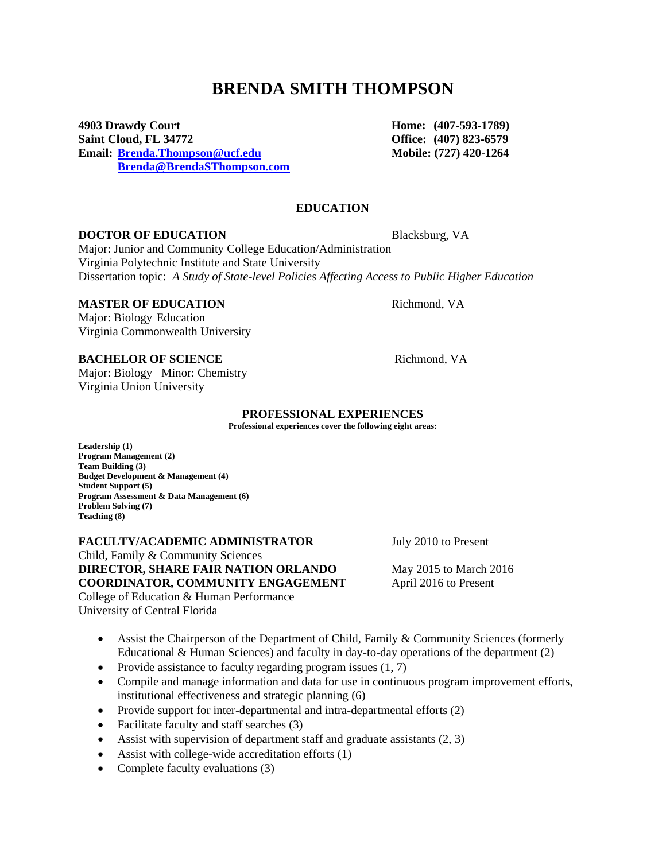# **BRENDA SMITH THOMPSON**

**4903 Drawdy Court Home: (407-593-1789) Saint Cloud, FL 34772 Office: (407) 823-6579 Email: [Brenda.Thompson@ucf.edu](mailto:Brenda.Thompson@ucf.edu) Mobile: (727) 420-1264 [Brenda@BrendaSThompson.com](mailto:Brenda@BrendaSThompson.com)**

**EDUCATION**

#### **DOCTOR OF EDUCATION** Blacksburg, VA

Major: Junior and Community College Education/Administration Virginia Polytechnic Institute and State University Dissertation topic: *A Study of State-level Policies Affecting Access to Public Higher Education*

#### **MASTER OF EDUCATION** Richmond, VA

Major: Biology Education Virginia Commonwealth University

### **BACHELOR OF SCIENCE** Richmond, VA

Major: Biology Minor: Chemistry Virginia Union University

#### **PROFESSIONAL EXPERIENCES**

**Professional experiences cover the following eight areas:**

**Leadership (1) Program Management (2) Team Building (3) Budget Development & Management (4) Student Support (5) Program Assessment & Data Management (6) Problem Solving (7) Teaching (8)**

**FACULTY/ACADEMIC ADMINISTRATOR** July 2010 to Present Child, Family & Community Sciences **DIRECTOR, SHARE FAIR NATION ORLANDO** May 2015 to March 2016 **COORDINATOR, COMMUNITY ENGAGEMENT** April 2016 to Present College of Education & Human Performance University of Central Florida

- Assist the Chairperson of the Department of Child, Family & Community Sciences (formerly Educational & Human Sciences) and faculty in day-to-day operations of the department (2)
- Provide assistance to faculty regarding program issues  $(1, 7)$
- Compile and manage information and data for use in continuous program improvement efforts, institutional effectiveness and strategic planning (6)
- Provide support for inter-departmental and intra-departmental efforts (2)
- Facilitate faculty and staff searches (3)
- Assist with supervision of department staff and graduate assistants  $(2, 3)$
- Assist with college-wide accreditation efforts (1)
- Complete faculty evaluations (3)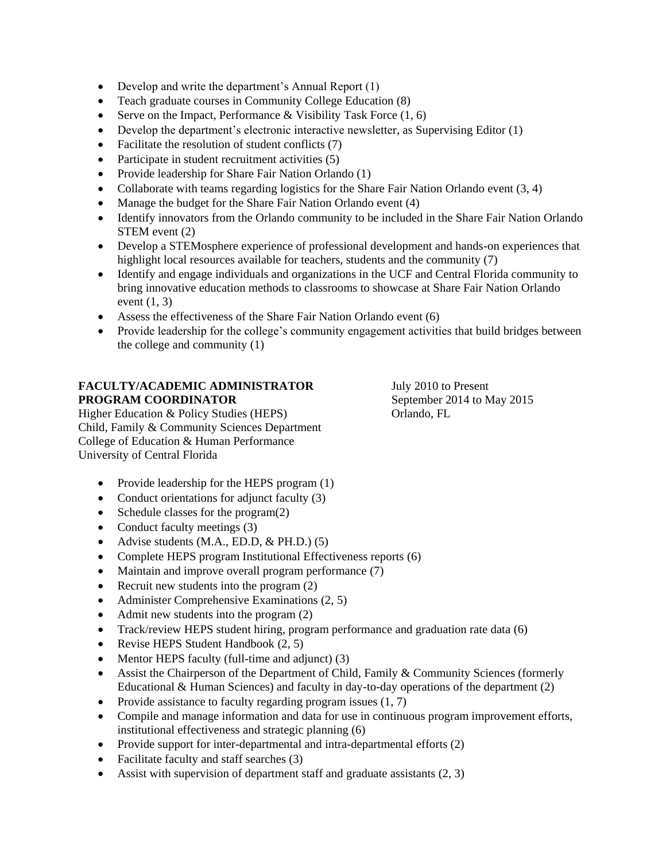- Develop and write the department's Annual Report (1)
- Teach graduate courses in Community College Education (8)
- Serve on the Impact, Performance & Visibility Task Force  $(1, 6)$
- $\bullet$  Develop the department's electronic interactive newsletter, as Supervising Editor (1)
- Facilitate the resolution of student conflicts (7)
- Participate in student recruitment activities (5)
- Provide leadership for Share Fair Nation Orlando (1)
- Collaborate with teams regarding logistics for the Share Fair Nation Orlando event  $(3, 4)$
- Manage the budget for the Share Fair Nation Orlando event (4)
- Identify innovators from the Orlando community to be included in the Share Fair Nation Orlando STEM event (2)
- Develop a STEMosphere experience of professional development and hands-on experiences that highlight local resources available for teachers, students and the community (7)
- Identify and engage individuals and organizations in the UCF and Central Florida community to bring innovative education methods to classrooms to showcase at Share Fair Nation Orlando event  $(1, 3)$
- Assess the effectiveness of the Share Fair Nation Orlando event (6)
- Provide leadership for the college's community engagement activities that build bridges between the college and community (1)

# **FACULTY/ACADEMIC ADMINISTRATOR** July 2010 to Present **PROGRAM COORDINATOR** September 2014 to May 2015

Higher Education & Policy Studies (HEPS) Orlando, FL Child, Family & Community Sciences Department College of Education & Human Performance University of Central Florida

- Provide leadership for the HEPS program (1)
- Conduct orientations for adjunct faculty (3)
- Schedule classes for the program $(2)$
- Conduct faculty meetings (3)
- Advise students  $(M.A., ED.D., & PH.D.)$  (5)
- Complete HEPS program Institutional Effectiveness reports (6)
- Maintain and improve overall program performance (7)
- Recruit new students into the program (2)
- Administer Comprehensive Examinations (2, 5)
- Admit new students into the program  $(2)$
- Track/review HEPS student hiring, program performance and graduation rate data (6)
- Revise HEPS Student Handbook  $(2, 5)$
- Mentor HEPS faculty (full-time and adjunct) (3)
- Assist the Chairperson of the Department of Child, Family & Community Sciences (formerly Educational & Human Sciences) and faculty in day-to-day operations of the department (2)
- Provide assistance to faculty regarding program issues  $(1, 7)$
- Compile and manage information and data for use in continuous program improvement efforts, institutional effectiveness and strategic planning (6)
- Provide support for inter-departmental and intra-departmental efforts (2)
- Facilitate faculty and staff searches (3)
- Assist with supervision of department staff and graduate assistants  $(2, 3)$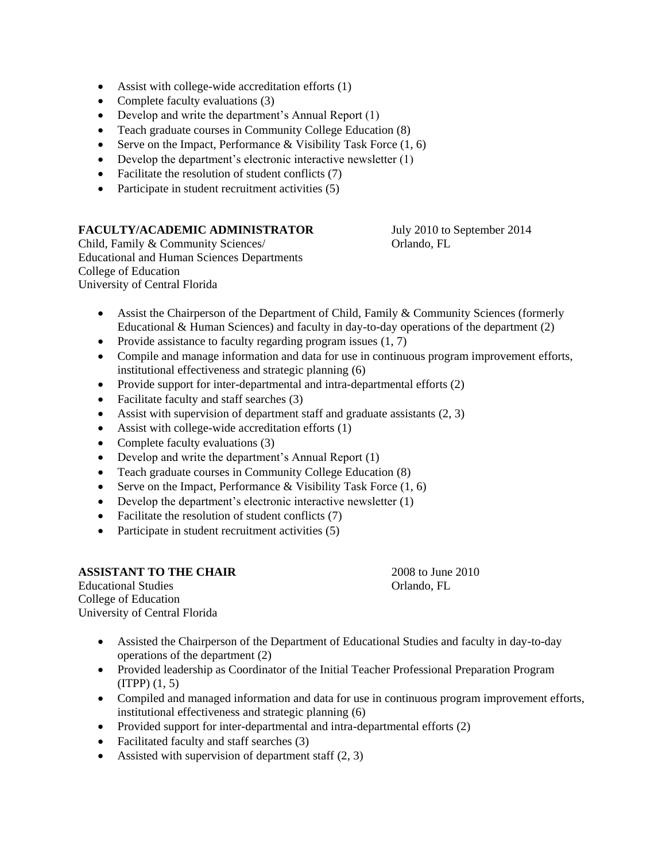- Assist with college-wide accreditation efforts (1)
- Complete faculty evaluations (3)
- Develop and write the department's Annual Report (1)
- Teach graduate courses in Community College Education (8)
- Serve on the Impact, Performance & Visibility Task Force  $(1, 6)$
- $\bullet$  Develop the department's electronic interactive newsletter  $(1)$
- Facilitate the resolution of student conflicts (7)
- Participate in student recruitment activities (5)

# **FACULTY/ACADEMIC ADMINISTRATOR** July 2010 to September 2014

Child, Family & Community Sciences/ Orlando, FL Educational and Human Sciences Departments College of Education University of Central Florida

- Assist the Chairperson of the Department of Child, Family & Community Sciences (formerly Educational & Human Sciences) and faculty in day-to-day operations of the department (2)
- Provide assistance to faculty regarding program issues  $(1, 7)$
- Compile and manage information and data for use in continuous program improvement efforts, institutional effectiveness and strategic planning (6)
- Provide support for inter-departmental and intra-departmental efforts (2)
- Facilitate faculty and staff searches (3)
- Assist with supervision of department staff and graduate assistants  $(2, 3)$
- Assist with college-wide accreditation efforts (1)
- Complete faculty evaluations (3)
- Develop and write the department's Annual Report (1)
- Teach graduate courses in Community College Education (8)
- Serve on the Impact, Performance & Visibility Task Force  $(1, 6)$
- Develop the department's electronic interactive newsletter (1)
- Facilitate the resolution of student conflicts (7)
- Participate in student recruitment activities (5)

### **ASSISTANT TO THE CHAIR** 2008 to June 2010

Educational Studies Orlando, FL College of Education University of Central Florida

- Assisted the Chairperson of the Department of Educational Studies and faculty in day-to-day operations of the department (2)
- Provided leadership as Coordinator of the Initial Teacher Professional Preparation Program (ITPP) (1, 5)
- Compiled and managed information and data for use in continuous program improvement efforts, institutional effectiveness and strategic planning (6)
- Provided support for inter-departmental and intra-departmental efforts (2)
- Facilitated faculty and staff searches (3)
- Assisted with supervision of department staff  $(2, 3)$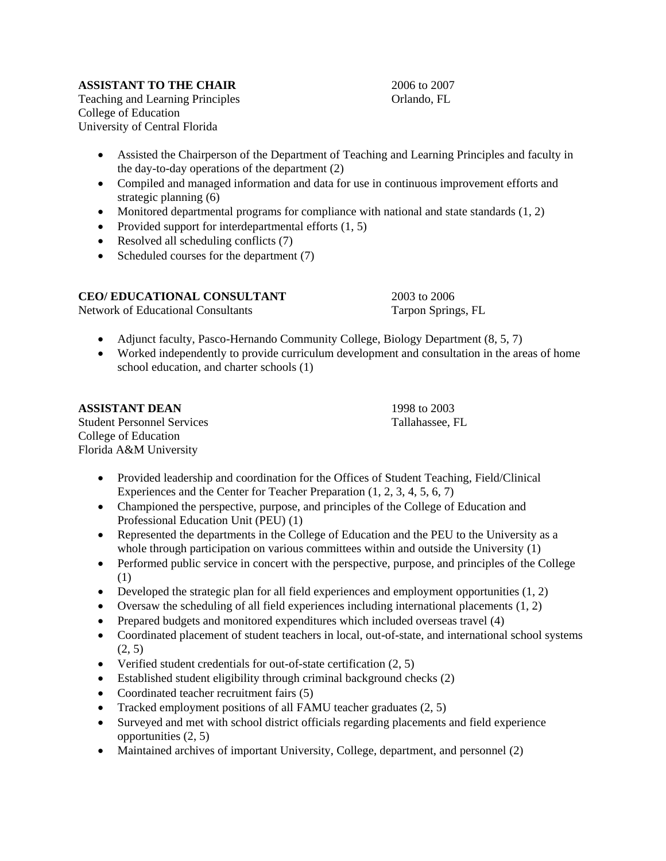# **ASSISTANT TO THE CHAIR** 2006 to 2007

Teaching and Learning Principles **Orlando**, FL College of Education University of Central Florida

- Assisted the Chairperson of the Department of Teaching and Learning Principles and faculty in the day-to-day operations of the department (2)
- Compiled and managed information and data for use in continuous improvement efforts and strategic planning (6)
- Monitored departmental programs for compliance with national and state standards  $(1, 2)$
- Provided support for interdepartmental efforts  $(1, 5)$
- Resolved all scheduling conflicts (7)
- Scheduled courses for the department (7)

# **CEO/ EDUCATIONAL CONSULTANT** 2003 to 2006

Network of Educational Consultants Tarpon Springs, FL

- Adjunct faculty, Pasco-Hernando Community College, Biology Department  $(8, 5, 7)$
- Worked independently to provide curriculum development and consultation in the areas of home school education, and charter schools (1)

# **ASSISTANT DEAN** 1998 to 2003

Student Personnel Services Tallahassee, FL College of Education Florida A&M University

- Provided leadership and coordination for the Offices of Student Teaching, Field/Clinical Experiences and the Center for Teacher Preparation (1, 2, 3, 4, 5, 6, 7)
- Championed the perspective, purpose, and principles of the College of Education and Professional Education Unit (PEU) (1)
- Represented the departments in the College of Education and the PEU to the University as a whole through participation on various committees within and outside the University (1)
- Performed public service in concert with the perspective, purpose, and principles of the College (1)
- Developed the strategic plan for all field experiences and employment opportunities  $(1, 2)$
- Oversaw the scheduling of all field experiences including international placements  $(1, 2)$
- Prepared budgets and monitored expenditures which included overseas travel (4)
- Coordinated placement of student teachers in local, out-of-state, and international school systems (2, 5)
- Verified student credentials for out-of-state certification (2, 5)
- Established student eligibility through criminal background checks (2)
- Coordinated teacher recruitment fairs (5)
- Tracked employment positions of all FAMU teacher graduates  $(2, 5)$
- Surveyed and met with school district officials regarding placements and field experience opportunities (2, 5)
- Maintained archives of important University, College, department, and personnel (2)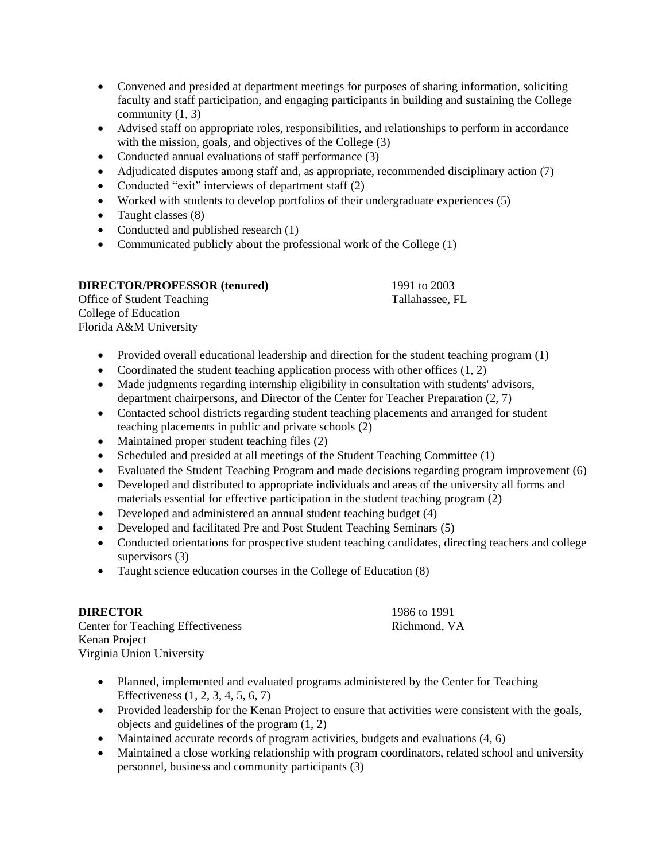- Convened and presided at department meetings for purposes of sharing information, soliciting faculty and staff participation, and engaging participants in building and sustaining the College community (1, 3)
- Advised staff on appropriate roles, responsibilities, and relationships to perform in accordance with the mission, goals, and objectives of the College (3)
- Conducted annual evaluations of staff performance (3)
- Adjudicated disputes among staff and, as appropriate, recommended disciplinary action (7)
- Conducted "exit" interviews of department staff (2)
- Worked with students to develop portfolios of their undergraduate experiences (5)
- Taught classes (8)
- Conducted and published research (1)
- Communicated publicly about the professional work of the College (1)

# **DIRECTOR/PROFESSOR (tenured)** 1991 to 2003

Office of Student Teaching Tallahassee, FL College of Education Florida A&M University

- Provided overall educational leadership and direction for the student teaching program (1)
- Coordinated the student teaching application process with other offices  $(1, 2)$
- Made judgments regarding internship eligibility in consultation with students' advisors, department chairpersons, and Director of the Center for Teacher Preparation (2, 7)
- Contacted school districts regarding student teaching placements and arranged for student teaching placements in public and private schools (2)
- Maintained proper student teaching files (2)
- Scheduled and presided at all meetings of the Student Teaching Committee (1)
- Evaluated the Student Teaching Program and made decisions regarding program improvement (6)
- Developed and distributed to appropriate individuals and areas of the university all forms and materials essential for effective participation in the student teaching program (2)
- Developed and administered an annual student teaching budget (4)
- Developed and facilitated Pre and Post Student Teaching Seminars (5)
- Conducted orientations for prospective student teaching candidates, directing teachers and college supervisors (3)
- Taught science education courses in the College of Education (8)

# **DIRECTOR** 1986 to 1991

Center for Teaching Effectiveness Richmond, VA Kenan Project Virginia Union University

- Planned, implemented and evaluated programs administered by the Center for Teaching Effectiveness (1, 2, 3, 4, 5, 6, 7)
- Provided leadership for the Kenan Project to ensure that activities were consistent with the goals, objects and guidelines of the program (1, 2)
- $\bullet$  Maintained accurate records of program activities, budgets and evaluations  $(4, 6)$
- Maintained a close working relationship with program coordinators, related school and university personnel, business and community participants (3)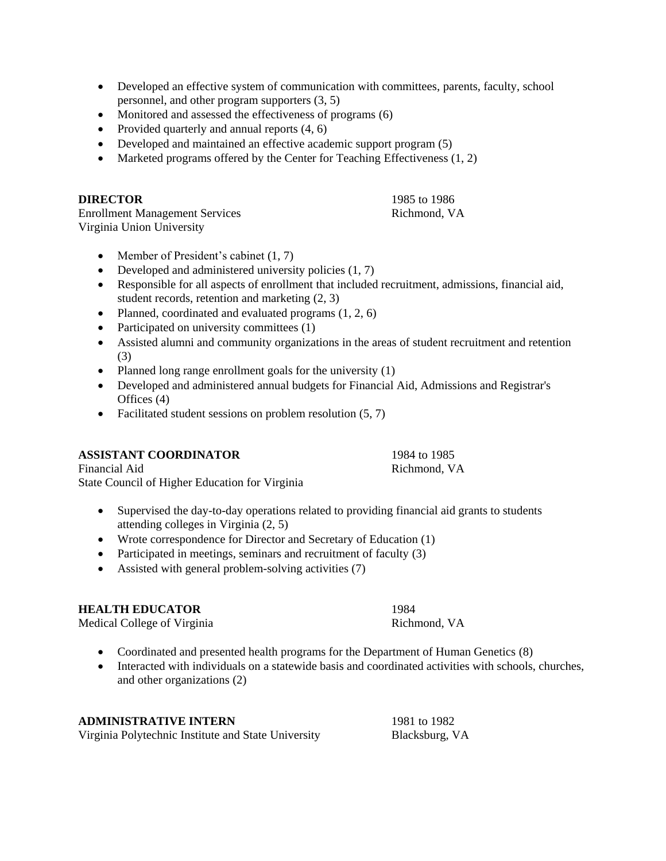- Developed an effective system of communication with committees, parents, faculty, school personnel, and other program supporters (3, 5)
- Monitored and assessed the effectiveness of programs (6)
- Provided quarterly and annual reports  $(4, 6)$
- Developed and maintained an effective academic support program (5)
- Marketed programs offered by the Center for Teaching Effectiveness  $(1, 2)$

### **DIRECTOR** 1985 to 1986

Enrollment Management Services Richmond, VA Virginia Union University

- Member of President's cabinet  $(1, 7)$
- Developed and administered university policies  $(1, 7)$
- Responsible for all aspects of enrollment that included recruitment, admissions, financial aid, student records, retention and marketing (2, 3)
- Planned, coordinated and evaluated programs  $(1, 2, 6)$
- Participated on university committees (1)
- Assisted alumni and community organizations in the areas of student recruitment and retention (3)
- Planned long range enrollment goals for the university (1)
- Developed and administered annual budgets for Financial Aid, Admissions and Registrar's Offices (4)
- Facilitated student sessions on problem resolution  $(5, 7)$

# **ASSISTANT COORDINATOR** 1984 to 1985

Financial Aid Richmond, VA State Council of Higher Education for Virginia

- Supervised the day-to-day operations related to providing financial aid grants to students attending colleges in Virginia (2, 5)
- Wrote correspondence for Director and Secretary of Education (1)
- Participated in meetings, seminars and recruitment of faculty  $(3)$
- Assisted with general problem-solving activities (7)

# **HEALTH EDUCATOR** 1984

Medical College of Virginia

- Coordinated and presented health programs for the Department of Human Genetics (8)
- Interacted with individuals on a statewide basis and coordinated activities with schools, churches, and other organizations (2)

### **ADMINISTRATIVE INTERN** 1981 to 1982

Virginia Polytechnic Institute and State University Blacksburg, VA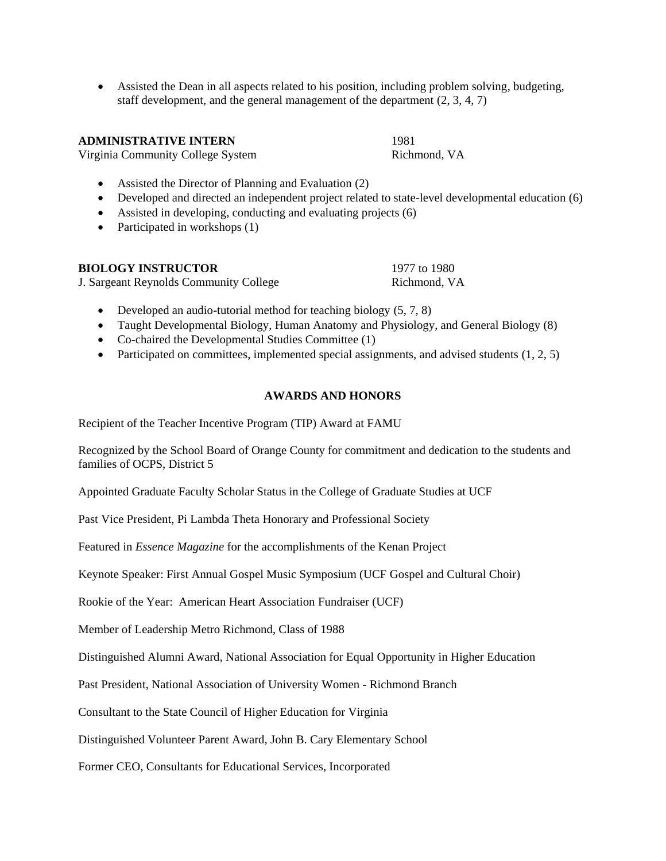Assisted the Dean in all aspects related to his position, including problem solving, budgeting, staff development, and the general management of the department (2, 3, 4, 7)

#### **ADMINISTRATIVE INTERN** 1981

Virginia Community College System Richmond, VA

- Assisted the Director of Planning and Evaluation (2)
- Developed and directed an independent project related to state-level developmental education (6)
- Assisted in developing, conducting and evaluating projects (6)
- Participated in workshops  $(1)$

| <b>BIOLOGY INSTRUCTOR</b>              | 1977 to 1980 |
|----------------------------------------|--------------|
| J. Sargeant Reynolds Community College | Richmond, VA |

- Developed an audio-tutorial method for teaching biology  $(5, 7, 8)$
- Taught Developmental Biology, Human Anatomy and Physiology, and General Biology (8)
- Co-chaired the Developmental Studies Committee (1)
- Participated on committees, implemented special assignments, and advised students  $(1, 2, 5)$

# **AWARDS AND HONORS**

Recipient of the Teacher Incentive Program (TIP) Award at FAMU

Recognized by the School Board of Orange County for commitment and dedication to the students and families of OCPS, District 5

Appointed Graduate Faculty Scholar Status in the College of Graduate Studies at UCF

Past Vice President, Pi Lambda Theta Honorary and Professional Society

Featured in *Essence Magazine* for the accomplishments of the Kenan Project

Keynote Speaker: First Annual Gospel Music Symposium (UCF Gospel and Cultural Choir)

Rookie of the Year: American Heart Association Fundraiser (UCF)

Member of Leadership Metro Richmond, Class of 1988

Distinguished Alumni Award, National Association for Equal Opportunity in Higher Education

Past President, National Association of University Women - Richmond Branch

Consultant to the State Council of Higher Education for Virginia

Distinguished Volunteer Parent Award, John B. Cary Elementary School

Former CEO, Consultants for Educational Services, Incorporated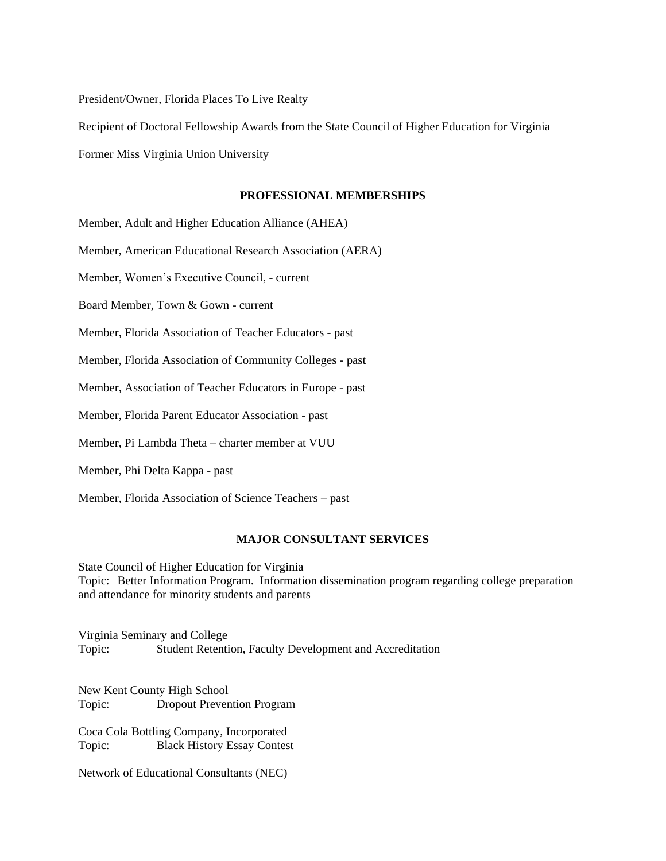President/Owner, Florida Places To Live Realty

Recipient of Doctoral Fellowship Awards from the State Council of Higher Education for Virginia

Former Miss Virginia Union University

#### **PROFESSIONAL MEMBERSHIPS**

Member, Adult and Higher Education Alliance (AHEA)

Member, American Educational Research Association (AERA)

Member, Women's Executive Council, - current

Board Member, Town & Gown - current

Member, Florida Association of Teacher Educators - past

Member, Florida Association of Community Colleges - past

Member, Association of Teacher Educators in Europe - past

Member, Florida Parent Educator Association - past

Member, Pi Lambda Theta – charter member at VUU

Member, Phi Delta Kappa - past

Member, Florida Association of Science Teachers – past

### **MAJOR CONSULTANT SERVICES**

State Council of Higher Education for Virginia Topic: Better Information Program. Information dissemination program regarding college preparation and attendance for minority students and parents

Virginia Seminary and College Topic: Student Retention, Faculty Development and Accreditation

New Kent County High School Topic: Dropout Prevention Program

Coca Cola Bottling Company, Incorporated Topic: Black History Essay Contest

Network of Educational Consultants (NEC)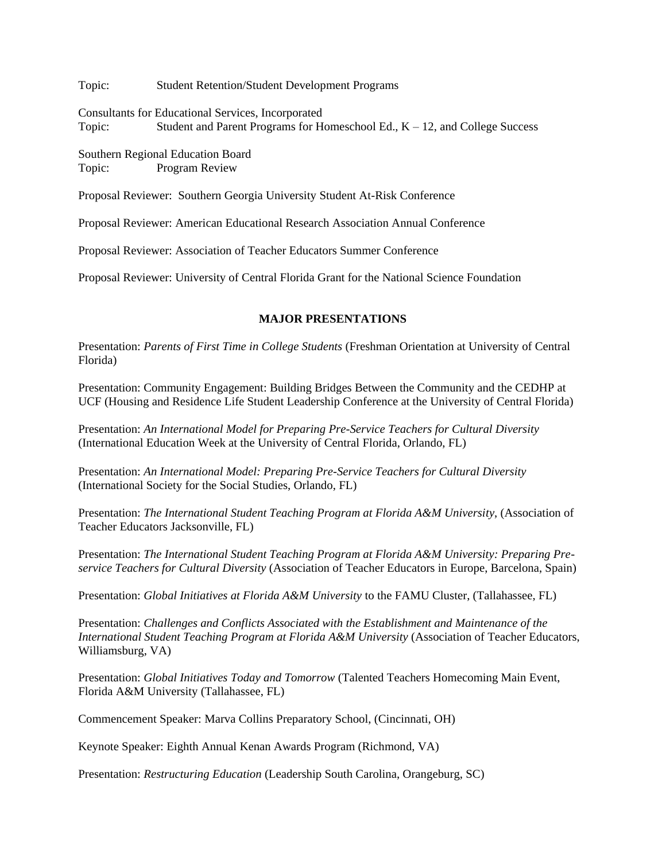Topic: Student Retention/Student Development Programs

Consultants for Educational Services, Incorporated Topic: Student and Parent Programs for Homeschool Ed., K – 12, and College Success

Southern Regional Education Board Topic: Program Review

Proposal Reviewer: Southern Georgia University Student At-Risk Conference

Proposal Reviewer: American Educational Research Association Annual Conference

Proposal Reviewer: Association of Teacher Educators Summer Conference

Proposal Reviewer: University of Central Florida Grant for the National Science Foundation

#### **MAJOR PRESENTATIONS**

Presentation: *Parents of First Time in College Students* (Freshman Orientation at University of Central Florida)

Presentation: Community Engagement: Building Bridges Between the Community and the CEDHP at UCF (Housing and Residence Life Student Leadership Conference at the University of Central Florida)

Presentation: *An International Model for Preparing Pre-Service Teachers for Cultural Diversity*  (International Education Week at the University of Central Florida, Orlando, FL)

Presentation: *An International Model: Preparing Pre-Service Teachers for Cultural Diversity* (International Society for the Social Studies, Orlando, FL)

Presentation: *The International Student Teaching Program at Florida A&M University*, (Association of Teacher Educators Jacksonville, FL)

Presentation: *The International Student Teaching Program at Florida A&M University: Preparing Preservice Teachers for Cultural Diversity* (Association of Teacher Educators in Europe, Barcelona, Spain)

Presentation: *Global Initiatives at Florida A&M University* to the FAMU Cluster, (Tallahassee, FL)

Presentation: *Challenges and Conflicts Associated with the Establishment and Maintenance of the International Student Teaching Program at Florida A&M University* (Association of Teacher Educators, Williamsburg, VA)

Presentation: *Global Initiatives Today and Tomorrow* (Talented Teachers Homecoming Main Event, Florida A&M University (Tallahassee, FL)

Commencement Speaker: Marva Collins Preparatory School, (Cincinnati, OH)

Keynote Speaker: Eighth Annual Kenan Awards Program (Richmond, VA)

Presentation: *Restructuring Education* (Leadership South Carolina, Orangeburg, SC)